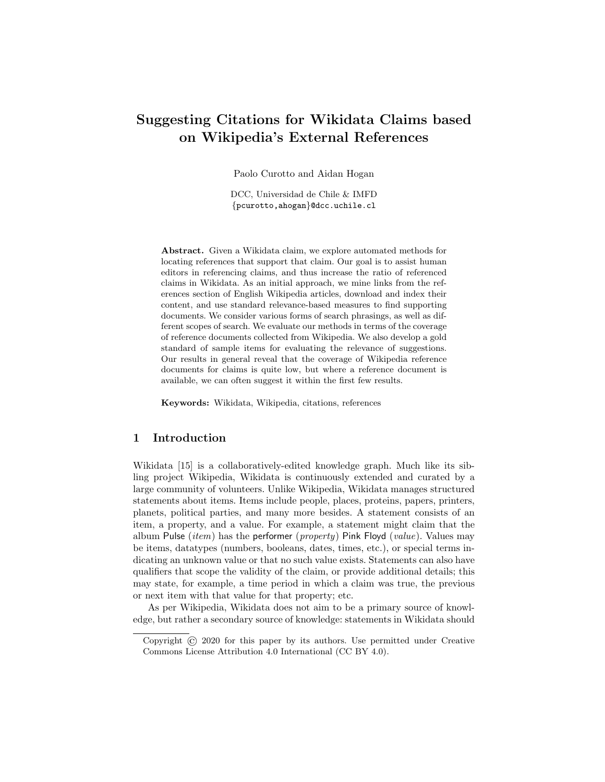# Suggesting Citations for Wikidata Claims based on Wikipedia's External References

Paolo Curotto and Aidan Hogan

DCC, Universidad de Chile & IMFD {pcurotto,ahogan}@dcc.uchile.cl

Abstract. Given a Wikidata claim, we explore automated methods for locating references that support that claim. Our goal is to assist human editors in referencing claims, and thus increase the ratio of referenced claims in Wikidata. As an initial approach, we mine links from the references section of English Wikipedia articles, download and index their content, and use standard relevance-based measures to find supporting documents. We consider various forms of search phrasings, as well as different scopes of search. We evaluate our methods in terms of the coverage of reference documents collected from Wikipedia. We also develop a gold standard of sample items for evaluating the relevance of suggestions. Our results in general reveal that the coverage of Wikipedia reference documents for claims is quite low, but where a reference document is available, we can often suggest it within the first few results.

Keywords: Wikidata, Wikipedia, citations, references

# 1 Introduction

Wikidata [\[15\]](#page-12-0) is a collaboratively-edited knowledge graph. Much like its sibling project Wikipedia, Wikidata is continuously extended and curated by a large community of volunteers. Unlike Wikipedia, Wikidata manages structured statements about items. Items include people, places, proteins, papers, printers, planets, political parties, and many more besides. A statement consists of an item, a property, and a value. For example, a statement might claim that the album Pulse (*item*) has the performer (*property*) Pink Floyd (*value*). Values may be items, datatypes (numbers, booleans, dates, times, etc.), or special terms indicating an unknown value or that no such value exists. Statements can also have qualifiers that scope the validity of the claim, or provide additional details; this may state, for example, a time period in which a claim was true, the previous or next item with that value for that property; etc.

As per Wikipedia, Wikidata does not aim to be a primary source of knowledge, but rather a secondary source of knowledge: statements in Wikidata should

Copyright © 2020 for this paper by its authors. Use permitted under Creative Commons License Attribution 4.0 International (CC BY 4.0).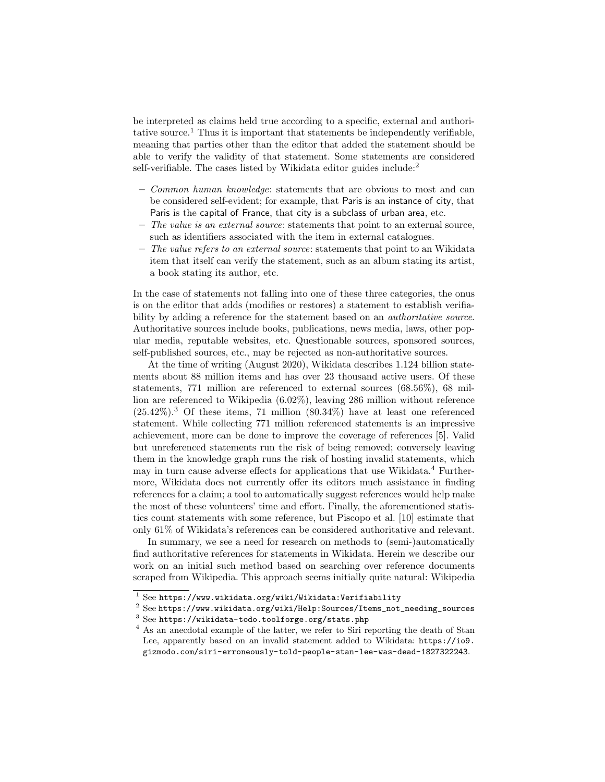be interpreted as claims held true according to a specific, external and authori-tative source.<sup>[1](#page-1-0)</sup> Thus it is important that statements be independently verifiable, meaning that parties other than the editor that added the statement should be able to verify the validity of that statement. Some statements are considered self-verifiable. The cases listed by Wikidata editor guides include: $2$ 

- Common human knowledge: statements that are obvious to most and can be considered self-evident; for example, that Paris is an instance of city, that Paris is the capital of France, that city is a subclass of urban area, etc.
- $-$  The value is an external source: statements that point to an external source, such as identifiers associated with the item in external catalogues.
- The value refers to an external source: statements that point to an Wikidata item that itself can verify the statement, such as an album stating its artist, a book stating its author, etc.

In the case of statements not falling into one of these three categories, the onus is on the editor that adds (modifies or restores) a statement to establish verifiability by adding a reference for the statement based on an *authoritative source*. Authoritative sources include books, publications, news media, laws, other popular media, reputable websites, etc. Questionable sources, sponsored sources, self-published sources, etc., may be rejected as non-authoritative sources.

At the time of writing (August 2020), Wikidata describes 1.124 billion statements about 88 million items and has over 23 thousand active users. Of these statements, 771 million are referenced to external sources (68.56%), 68 million are referenced to Wikipedia (6.02%), leaving 286 million without reference  $(25.42\%)$ .<sup>[3](#page-1-2)</sup> Of these items, 71 million  $(80.34\%)$  have at least one referenced statement. While collecting 771 million referenced statements is an impressive achievement, more can be done to improve the coverage of references [\[5\]](#page-12-1). Valid but unreferenced statements run the risk of being removed; conversely leaving them in the knowledge graph runs the risk of hosting invalid statements, which may in turn cause adverse effects for applications that use Wikidata.<sup>[4](#page-1-3)</sup> Furthermore, Wikidata does not currently offer its editors much assistance in finding references for a claim; a tool to automatically suggest references would help make the most of these volunteers' time and effort. Finally, the aforementioned statistics count statements with some reference, but Piscopo et al. [\[10\]](#page-12-2) estimate that only 61% of Wikidata's references can be considered authoritative and relevant.

In summary, we see a need for research on methods to (semi-)automatically find authoritative references for statements in Wikidata. Herein we describe our work on an initial such method based on searching over reference documents scraped from Wikipedia. This approach seems initially quite natural: Wikipedia

<span id="page-1-0"></span> $1$  See <https://www.wikidata.org/wiki/Wikidata:Verifiability>

<span id="page-1-1"></span><sup>2</sup> See [https://www.wikidata.org/wiki/Help:Sources/Items\\_not\\_needing\\_sources](https://www.wikidata.org/wiki/Help:Sources/Items_not_needing_sources)

<span id="page-1-2"></span><sup>3</sup> See <https://wikidata-todo.toolforge.org/stats.php>

<span id="page-1-3"></span><sup>&</sup>lt;sup>4</sup> As an anecdotal example of the latter, we refer to Siri reporting the death of Stan Lee, apparently based on an invalid statement added to Wikidata: [https://io9.](https://io9.gizmodo.com/siri-erroneously-told-people-stan-lee-was-dead-1827322243) [gizmodo.com/siri-erroneously-told-people-stan-lee-was-dead-1827322243](https://io9.gizmodo.com/siri-erroneously-told-people-stan-lee-was-dead-1827322243).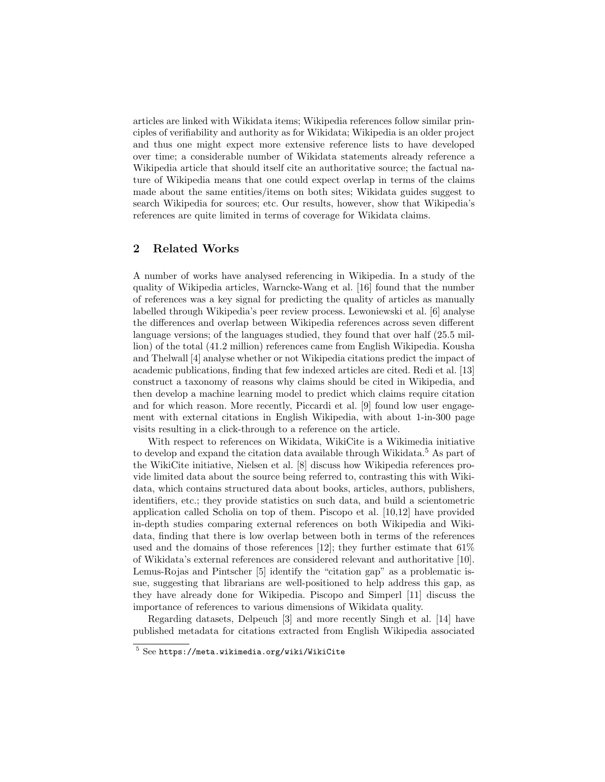articles are linked with Wikidata items; Wikipedia references follow similar principles of verifiability and authority as for Wikidata; Wikipedia is an older project and thus one might expect more extensive reference lists to have developed over time; a considerable number of Wikidata statements already reference a Wikipedia article that should itself cite an authoritative source; the factual nature of Wikipedia means that one could expect overlap in terms of the claims made about the same entities/items on both sites; Wikidata guides suggest to search Wikipedia for sources; etc. Our results, however, show that Wikipedia's references are quite limited in terms of coverage for Wikidata claims.

## 2 Related Works

A number of works have analysed referencing in Wikipedia. In a study of the quality of Wikipedia articles, Warncke-Wang et al. [\[16\]](#page-12-3) found that the number of references was a key signal for predicting the quality of articles as manually labelled through Wikipedia's peer review process. Lewoniewski et al. [\[6\]](#page-12-4) analyse the differences and overlap between Wikipedia references across seven different language versions; of the languages studied, they found that over half (25.5 million) of the total (41.2 million) references came from English Wikipedia. Kousha and Thelwall [\[4\]](#page-12-5) analyse whether or not Wikipedia citations predict the impact of academic publications, finding that few indexed articles are cited. Redi et al. [\[13\]](#page-12-6) construct a taxonomy of reasons why claims should be cited in Wikipedia, and then develop a machine learning model to predict which claims require citation and for which reason. More recently, Piccardi et al. [\[9\]](#page-12-7) found low user engagement with external citations in English Wikipedia, with about 1-in-300 page visits resulting in a click-through to a reference on the article.

With respect to references on Wikidata, WikiCite is a Wikimedia initiative to develop and expand the citation data available through Wikidata.<sup>[5](#page-2-0)</sup> As part of the WikiCite initiative, Nielsen et al. [\[8\]](#page-12-8) discuss how Wikipedia references provide limited data about the source being referred to, contrasting this with Wikidata, which contains structured data about books, articles, authors, publishers, identifiers, etc.; they provide statistics on such data, and build a scientometric application called Scholia on top of them. Piscopo et al. [\[10,](#page-12-2)[12\]](#page-12-9) have provided in-depth studies comparing external references on both Wikipedia and Wikidata, finding that there is low overlap between both in terms of the references used and the domains of those references [\[12\]](#page-12-9); they further estimate that 61% of Wikidata's external references are considered relevant and authoritative [\[10\]](#page-12-2). Lemus-Rojas and Pintscher [\[5\]](#page-12-1) identify the "citation gap" as a problematic issue, suggesting that librarians are well-positioned to help address this gap, as they have already done for Wikipedia. Piscopo and Simperl [\[11\]](#page-12-10) discuss the importance of references to various dimensions of Wikidata quality.

Regarding datasets, Delpeuch [\[3\]](#page-12-11) and more recently Singh et al. [\[14\]](#page-12-12) have published metadata for citations extracted from English Wikipedia associated

<span id="page-2-0"></span><sup>5</sup> See <https://meta.wikimedia.org/wiki/WikiCite>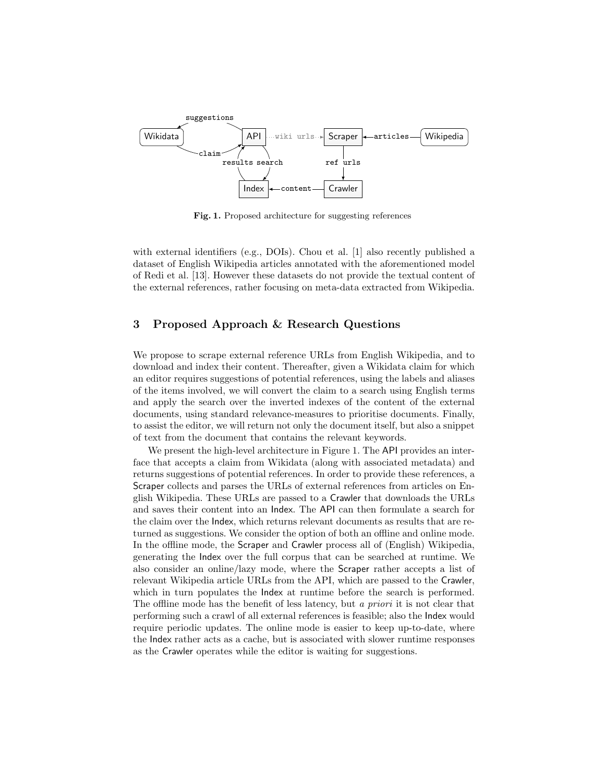

<span id="page-3-0"></span>Fig. 1. Proposed architecture for suggesting references

with external identifiers (e.g., DOIs). Chou et al. [\[1\]](#page-12-13) also recently published a dataset of English Wikipedia articles annotated with the aforementioned model of Redi et al. [\[13\]](#page-12-6). However these datasets do not provide the textual content of the external references, rather focusing on meta-data extracted from Wikipedia.

## 3 Proposed Approach & Research Questions

We propose to scrape external reference URLs from English Wikipedia, and to download and index their content. Thereafter, given a Wikidata claim for which an editor requires suggestions of potential references, using the labels and aliases of the items involved, we will convert the claim to a search using English terms and apply the search over the inverted indexes of the content of the external documents, using standard relevance-measures to prioritise documents. Finally, to assist the editor, we will return not only the document itself, but also a snippet of text from the document that contains the relevant keywords.

We present the high-level architecture in Figure [1.](#page-3-0) The API provides an interface that accepts a claim from Wikidata (along with associated metadata) and returns suggestions of potential references. In order to provide these references, a Scraper collects and parses the URLs of external references from articles on English Wikipedia. These URLs are passed to a Crawler that downloads the URLs and saves their content into an Index. The API can then formulate a search for the claim over the Index, which returns relevant documents as results that are returned as suggestions. We consider the option of both an offline and online mode. In the offline mode, the Scraper and Crawler process all of (English) Wikipedia, generating the Index over the full corpus that can be searched at runtime. We also consider an online/lazy mode, where the Scraper rather accepts a list of relevant Wikipedia article URLs from the API, which are passed to the Crawler, which in turn populates the Index at runtime before the search is performed. The offline mode has the benefit of less latency, but a priori it is not clear that performing such a crawl of all external references is feasible; also the Index would require periodic updates. The online mode is easier to keep up-to-date, where the Index rather acts as a cache, but is associated with slower runtime responses as the Crawler operates while the editor is waiting for suggestions.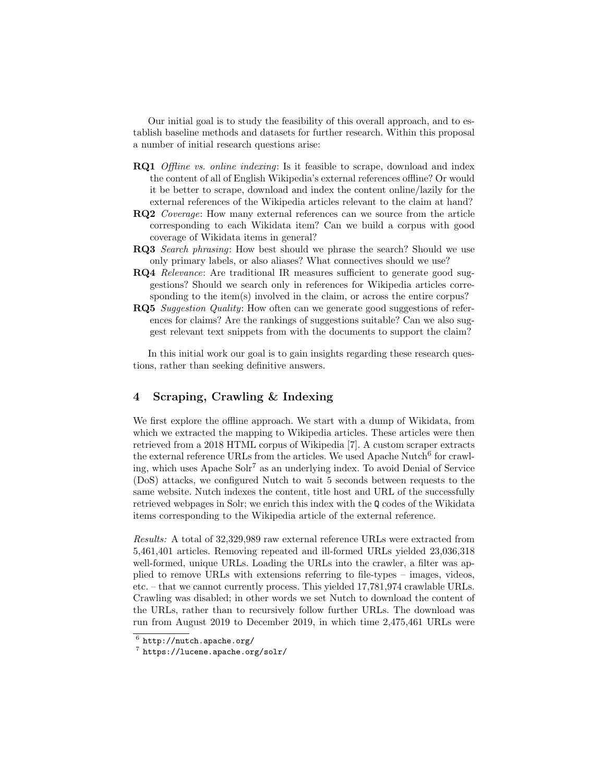Our initial goal is to study the feasibility of this overall approach, and to establish baseline methods and datasets for further research. Within this proposal a number of initial research questions arise:

- **RQ1** Offline vs. online indexing: Is it feasible to scrape, download and index the content of all of English Wikipedia's external references offline? Or would it be better to scrape, download and index the content online/lazily for the external references of the Wikipedia articles relevant to the claim at hand?
- RQ2 Coverage: How many external references can we source from the article corresponding to each Wikidata item? Can we build a corpus with good coverage of Wikidata items in general?
- RQ3 Search phrasing: How best should we phrase the search? Should we use only primary labels, or also aliases? What connectives should we use?
- RQ4 Relevance: Are traditional IR measures sufficient to generate good suggestions? Should we search only in references for Wikipedia articles corresponding to the item(s) involved in the claim, or across the entire corpus?
- RQ5 Suggestion Quality: How often can we generate good suggestions of references for claims? Are the rankings of suggestions suitable? Can we also suggest relevant text snippets from with the documents to support the claim?

In this initial work our goal is to gain insights regarding these research questions, rather than seeking definitive answers.

# 4 Scraping, Crawling & Indexing

We first explore the offline approach. We start with a dump of Wikidata, from which we extracted the mapping to Wikipedia articles. These articles were then retrieved from a 2018 HTML corpus of Wikipedia [\[7\]](#page-12-14). A custom scraper extracts the external reference URLs from the articles. We used Apache Nutch<sup>[6](#page-4-0)</sup> for crawling, which uses Apache Solr[7](#page-4-1) as an underlying index. To avoid Denial of Service (DoS) attacks, we configured Nutch to wait 5 seconds between requests to the same website. Nutch indexes the content, title host and URL of the successfully retrieved webpages in Solr; we enrich this index with the Q codes of the Wikidata items corresponding to the Wikipedia article of the external reference.

Results: A total of 32,329,989 raw external reference URLs were extracted from 5,461,401 articles. Removing repeated and ill-formed URLs yielded 23,036,318 well-formed, unique URLs. Loading the URLs into the crawler, a filter was applied to remove URLs with extensions referring to file-types – images, videos, etc. – that we cannot currently process. This yielded 17,781,974 crawlable URLs. Crawling was disabled; in other words we set Nutch to download the content of the URLs, rather than to recursively follow further URLs. The download was run from August 2019 to December 2019, in which time 2,475,461 URLs were

<span id="page-4-0"></span> $^6$  <http://nutch.apache.org/>

<span id="page-4-1"></span><sup>7</sup> <https://lucene.apache.org/solr/>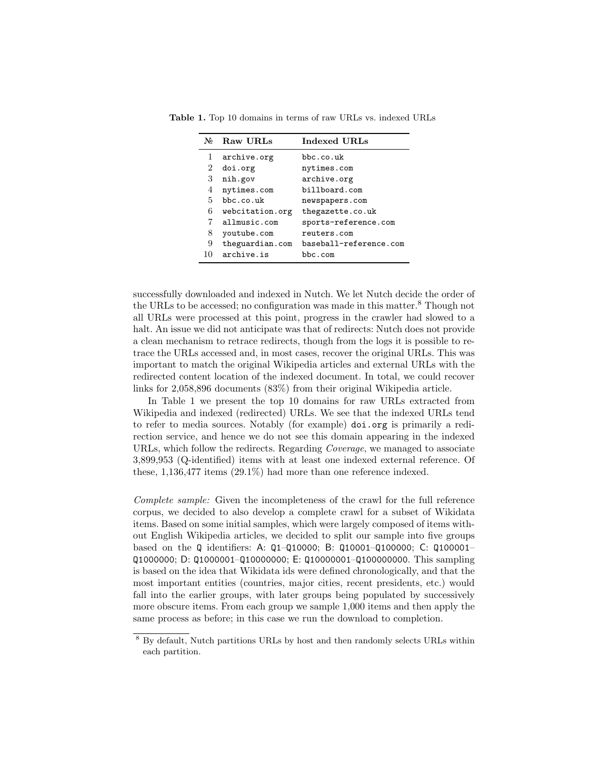<span id="page-5-1"></span>

| No             | Raw URLs        | <b>Indexed URLs</b>    |  |  |
|----------------|-----------------|------------------------|--|--|
|                | archive.org     | bbc.co.uk              |  |  |
| $\overline{2}$ | doi.org         | nytimes.com            |  |  |
| 3              | nih.gov         | archive.org            |  |  |
| 4              | nytimes.com     | billboard.com          |  |  |
| 5.             | bbc.co.uk       | newspapers.com         |  |  |
| 6              | webcitation.org | thegazette.co.uk       |  |  |
| 7              | allmusic.com    | sports-reference.com   |  |  |
| 8              | youtube.com     | reuters.com            |  |  |
| 9              | theguardian.com | baseball-reference.com |  |  |
| 10             | archive.is      | bbc.com                |  |  |

Table 1. Top 10 domains in terms of raw URLs vs. indexed URLs

successfully downloaded and indexed in Nutch. We let Nutch decide the order of the URLs to be accessed; no configuration was made in this matter.[8](#page-5-0) Though not all URLs were processed at this point, progress in the crawler had slowed to a halt. An issue we did not anticipate was that of redirects: Nutch does not provide a clean mechanism to retrace redirects, though from the logs it is possible to retrace the URLs accessed and, in most cases, recover the original URLs. This was important to match the original Wikipedia articles and external URLs with the redirected content location of the indexed document. In total, we could recover links for 2,058,896 documents (83%) from their original Wikipedia article.

In Table [1](#page-5-1) we present the top 10 domains for raw URLs extracted from Wikipedia and indexed (redirected) URLs. We see that the indexed URLs tend to refer to media sources. Notably (for example) doi.org is primarily a redirection service, and hence we do not see this domain appearing in the indexed URLs, which follow the redirects. Regarding *Coverage*, we managed to associate 3,899,953 (Q-identified) items with at least one indexed external reference. Of these, 1,136,477 items (29.1%) had more than one reference indexed.

Complete sample: Given the incompleteness of the crawl for the full reference corpus, we decided to also develop a complete crawl for a subset of Wikidata items. Based on some initial samples, which were largely composed of items without English Wikipedia articles, we decided to split our sample into five groups based on the Q identifiers: A: Q1–Q10000; B: Q10001–Q100000; C: Q100001– Q1000000; D: Q1000001–Q10000000; E: Q10000001–Q100000000. This sampling is based on the idea that Wikidata ids were defined chronologically, and that the most important entities (countries, major cities, recent presidents, etc.) would fall into the earlier groups, with later groups being populated by successively more obscure items. From each group we sample 1,000 items and then apply the same process as before; in this case we run the download to completion.

<span id="page-5-0"></span><sup>8</sup> By default, Nutch partitions URLs by host and then randomly selects URLs within each partition.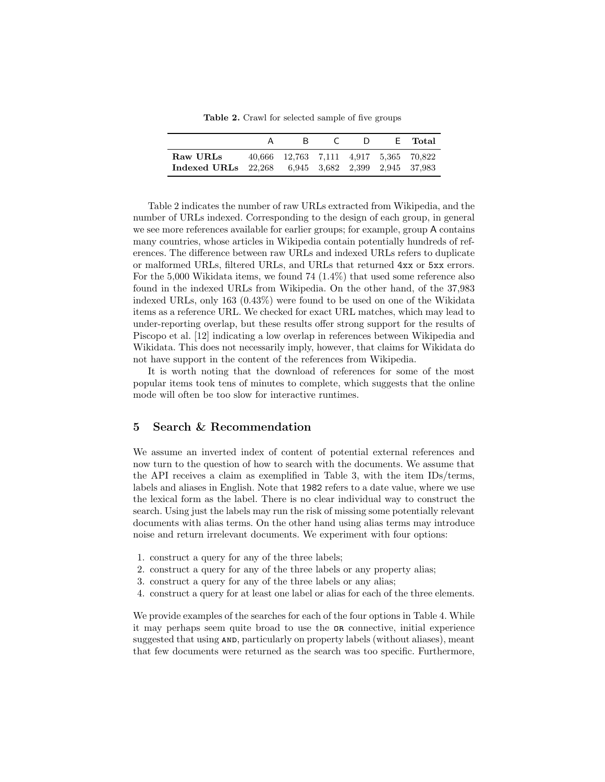<span id="page-6-0"></span>Table 2. Crawl for selected sample of five groups

|                                                                | R                                      | $\Box$ | F., | - Total |
|----------------------------------------------------------------|----------------------------------------|--------|-----|---------|
| Raw URLs<br>Indexed URLs 22,268 6.945 3.682 2.399 2.945 37.983 | 40.666 12.763 7.111 4.917 5.365 70.822 |        |     |         |

Table [2](#page-6-0) indicates the number of raw URLs extracted from Wikipedia, and the number of URLs indexed. Corresponding to the design of each group, in general we see more references available for earlier groups; for example, group A contains many countries, whose articles in Wikipedia contain potentially hundreds of references. The difference between raw URLs and indexed URLs refers to duplicate or malformed URLs, filtered URLs, and URLs that returned 4xx or 5xx errors. For the 5,000 Wikidata items, we found 74 (1.4%) that used some reference also found in the indexed URLs from Wikipedia. On the other hand, of the 37,983 indexed URLs, only 163 (0.43%) were found to be used on one of the Wikidata items as a reference URL. We checked for exact URL matches, which may lead to under-reporting overlap, but these results offer strong support for the results of Piscopo et al. [\[12\]](#page-12-9) indicating a low overlap in references between Wikipedia and Wikidata. This does not necessarily imply, however, that claims for Wikidata do not have support in the content of the references from Wikipedia.

It is worth noting that the download of references for some of the most popular items took tens of minutes to complete, which suggests that the online mode will often be too slow for interactive runtimes.

#### 5 Search & Recommendation

We assume an inverted index of content of potential external references and now turn to the question of how to search with the documents. We assume that the API receives a claim as exemplified in Table [3,](#page-7-0) with the item IDs/terms, labels and aliases in English. Note that 1982 refers to a date value, where we use the lexical form as the label. There is no clear individual way to construct the search. Using just the labels may run the risk of missing some potentially relevant documents with alias terms. On the other hand using alias terms may introduce noise and return irrelevant documents. We experiment with four options:

- 1. construct a query for any of the three labels;
- 2. construct a query for any of the three labels or any property alias;
- 3. construct a query for any of the three labels or any alias;
- 4. construct a query for at least one label or alias for each of the three elements.

We provide examples of the searches for each of the four options in Table [4.](#page-8-0) While it may perhaps seem quite broad to use the or connective, initial experience suggested that using  $AND$ , particularly on property labels (without aliases), meant that few documents were returned as the search was too specific. Furthermore,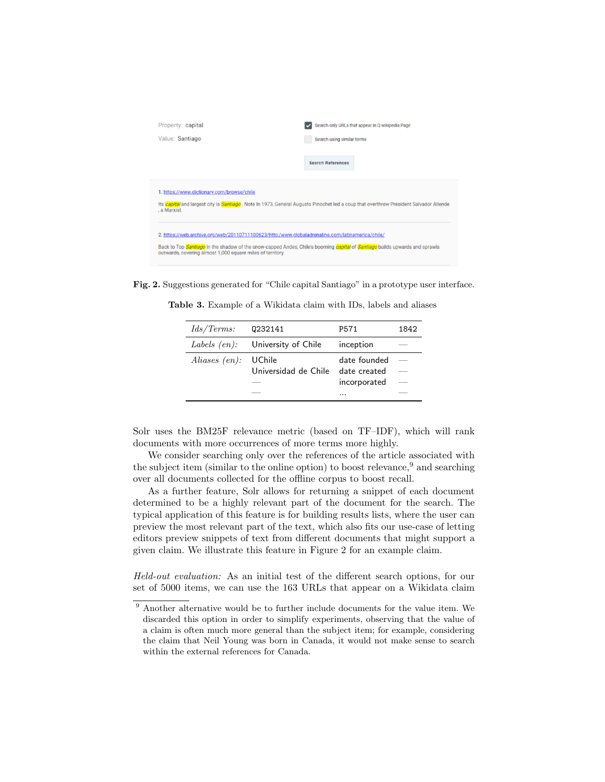| Property: capital<br>Value: Santiago                                                                                                                                                                                                                                                          | Search only URLs that appear in Q wikipedia Page<br>Search using similar terms |  |  |  |  |
|-----------------------------------------------------------------------------------------------------------------------------------------------------------------------------------------------------------------------------------------------------------------------------------------------|--------------------------------------------------------------------------------|--|--|--|--|
|                                                                                                                                                                                                                                                                                               | <b>Search References</b>                                                       |  |  |  |  |
| 1. https://www.dictionary.com/browse/chile<br>Its capital and largest city is Santiago. Note In 1973, General Augusto Pinochet led a coup that overthrew President Salvador Allende<br>. a Marxist.                                                                                           |                                                                                |  |  |  |  |
| 2. https://web.archive.org/web/20110711100623/http:/www.globaladrenaline.com/latinamerica/chile/<br>Back to Top Santiago In the shadow of the snow-capped Andes, Chile's booming capital of Santiago builds upwards and sprawls<br>outwards, covering almost 1,000 square miles of territory. |                                                                                |  |  |  |  |

Fig. 2. Suggestions generated for "Chile capital Santiago" in a prototype user interface.

<span id="page-7-2"></span>Table 3. Example of a Wikidata claim with IDs, labels and aliases

<span id="page-7-0"></span>

| $\frac{Ids}{\text{Terms:}}$ | 0232141                          | P571                                              | 1842 |
|-----------------------------|----------------------------------|---------------------------------------------------|------|
| Labels $(en)$ :             | University of Chile              | inception                                         |      |
| Aliases $(en)$ :            | – UChile<br>Universidad de Chile | date founded<br>date created<br>incorporated<br>. |      |

Solr uses the BM25F relevance metric (based on TF–IDF), which will rank documents with more occurrences of more terms more highly.

We consider searching only over the references of the article associated with the subject item (similar to the online option) to boost relevance,  $9$  and searching over all documents collected for the offline corpus to boost recall.

As a further feature, Solr allows for returning a snippet of each document determined to be a highly relevant part of the document for the search. The typical application of this feature is for building results lists, where the user can preview the most relevant part of the text, which also fits our use-case of letting editors preview snippets of text from different documents that might support a given claim. We illustrate this feature in Figure [2](#page-7-2) for an example claim.

Held-out evaluation: As an initial test of the different search options, for our set of 5000 items, we can use the 163 URLs that appear on a Wikidata claim

<span id="page-7-1"></span><sup>&</sup>lt;sup>9</sup> Another alternative would be to further include documents for the value item. We discarded this option in order to simplify experiments, observing that the value of a claim is often much more general than the subject item; for example, considering the claim that Neil Young was born in Canada, it would not make sense to search within the external references for Canada.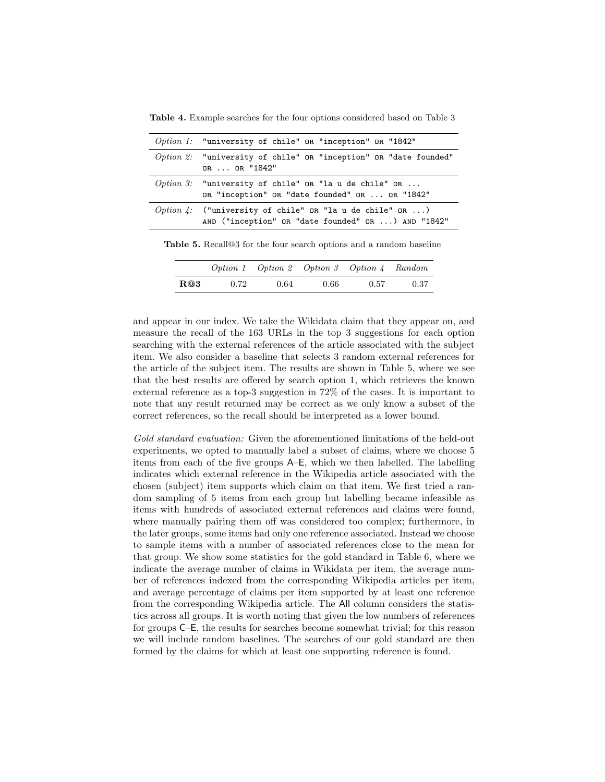<span id="page-8-0"></span>Table 4. Example searches for the four options considered based on Table [3](#page-7-0)

| <i>Option 1:</i> "university of chile" OR "inception" OR "1842"                                                |  |  |  |
|----------------------------------------------------------------------------------------------------------------|--|--|--|
| $Option 2:$ "university of chile" OR "inception" OR "date founded"<br>OR  OR "1842"                            |  |  |  |
| Option 3: "university of chile" OR "la u de chile" OR<br>OR "inception" OR "date founded" OR  OR "1842"        |  |  |  |
| Option 4: ("university of chile" OR "la u de chile" OR )<br>AND ("inception" OR "date founded" OR ) AND "1842" |  |  |  |

Table 5. Recall@3 for the four search options and a random baseline

<span id="page-8-1"></span>

|     |      | Option 1 Option 2 Option 3 Option 4 Random |      |      |      |
|-----|------|--------------------------------------------|------|------|------|
| R@3 | 0.72 | 0.64                                       | 0.66 | 0.57 | 0.37 |

and appear in our index. We take the Wikidata claim that they appear on, and measure the recall of the 163 URLs in the top 3 suggestions for each option searching with the external references of the article associated with the subject item. We also consider a baseline that selects 3 random external references for the article of the subject item. The results are shown in Table [5,](#page-8-1) where we see that the best results are offered by search option 1, which retrieves the known external reference as a top-3 suggestion in 72% of the cases. It is important to note that any result returned may be correct as we only know a subset of the correct references, so the recall should be interpreted as a lower bound.

Gold standard evaluation: Given the aforementioned limitations of the held-out experiments, we opted to manually label a subset of claims, where we choose 5 items from each of the five groups A–E, which we then labelled. The labelling indicates which external reference in the Wikipedia article associated with the chosen (subject) item supports which claim on that item. We first tried a random sampling of 5 items from each group but labelling became infeasible as items with hundreds of associated external references and claims were found, where manually pairing them off was considered too complex; furthermore, in the later groups, some items had only one reference associated. Instead we choose to sample items with a number of associated references close to the mean for that group. We show some statistics for the gold standard in Table [6,](#page-9-0) where we indicate the average number of claims in Wikidata per item, the average number of references indexed from the corresponding Wikipedia articles per item, and average percentage of claims per item supported by at least one reference from the corresponding Wikipedia article. The All column considers the statistics across all groups. It is worth noting that given the low numbers of references for groups C–E, the results for searches become somewhat trivial; for this reason we will include random baselines. The searches of our gold standard are then formed by the claims for which at least one supporting reference is found.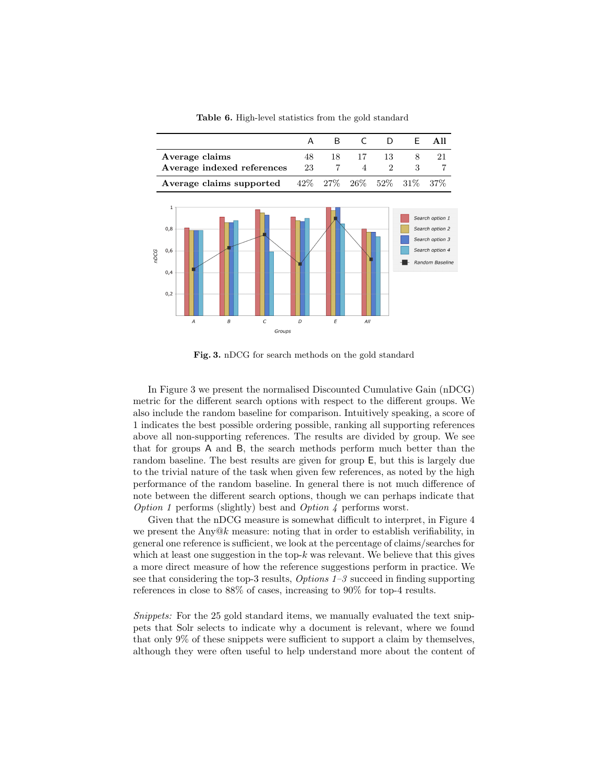

<span id="page-9-0"></span>Table 6. High-level statistics from the gold standard

<span id="page-9-1"></span>Fig. 3. nDCG for search methods on the gold standard

In Figure [3](#page-9-1) we present the normalised Discounted Cumulative Gain (nDCG) metric for the different search options with respect to the different groups. We also include the random baseline for comparison. Intuitively speaking, a score of 1 indicates the best possible ordering possible, ranking all supporting references above all non-supporting references. The results are divided by group. We see that for groups A and B, the search methods perform much better than the random baseline. The best results are given for group E, but this is largely due to the trivial nature of the task when given few references, as noted by the high performance of the random baseline. In general there is not much difference of note between the different search options, though we can perhaps indicate that *Option 1* performs (slightly) best and *Option 4* performs worst.

Given that the nDCG measure is somewhat difficult to interpret, in Figure [4](#page-10-0) we present the Any $@k$  measure: noting that in order to establish verifiability, in general one reference is sufficient, we look at the percentage of claims/searches for which at least one suggestion in the top- $k$  was relevant. We believe that this gives a more direct measure of how the reference suggestions perform in practice. We see that considering the top-3 results, Options 1–3 succeed in finding supporting references in close to 88% of cases, increasing to 90% for top-4 results.

Snippets: For the 25 gold standard items, we manually evaluated the text snippets that Solr selects to indicate why a document is relevant, where we found that only 9% of these snippets were sufficient to support a claim by themselves, although they were often useful to help understand more about the content of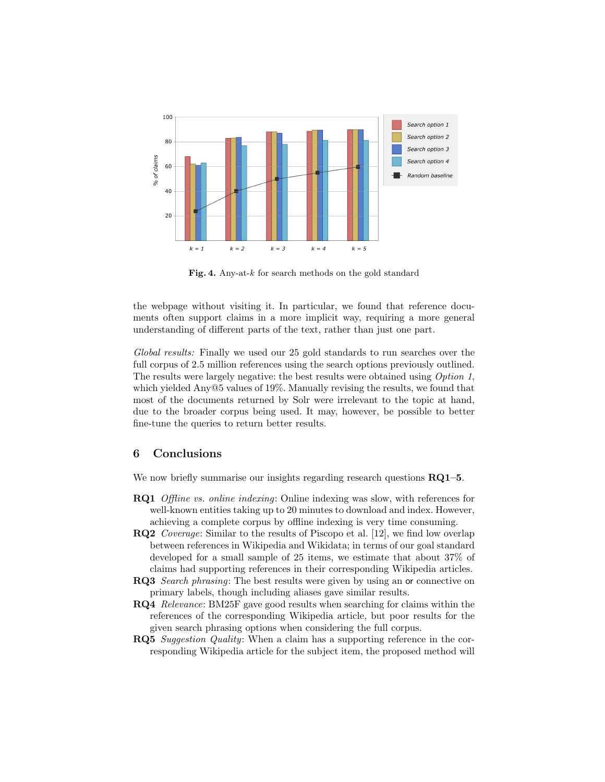

<span id="page-10-0"></span>Fig. 4. Any-at- $k$  for search methods on the gold standard

the webpage without visiting it. In particular, we found that reference documents often support claims in a more implicit way, requiring a more general understanding of different parts of the text, rather than just one part.

Global results: Finally we used our 25 gold standards to run searches over the full corpus of 2.5 million references using the search options previously outlined. The results were largely negative: the best results were obtained using Option 1, which yielded Any@5 values of 19%. Manually revising the results, we found that most of the documents returned by Solr were irrelevant to the topic at hand, due to the broader corpus being used. It may, however, be possible to better fine-tune the queries to return better results.

## 6 Conclusions

We now briefly summarise our insights regarding research questions  $RQ1-5$ .

- RQ1 Offline vs. online indexing: Online indexing was slow, with references for well-known entities taking up to 20 minutes to download and index. However, achieving a complete corpus by offline indexing is very time consuming.
- RQ2 Coverage: Similar to the results of Piscopo et al. [\[12\]](#page-12-9), we find low overlap between references in Wikipedia and Wikidata; in terms of our goal standard developed for a small sample of 25 items, we estimate that about 37% of claims had supporting references in their corresponding Wikipedia articles.
- RQ3 Search phrasing: The best results were given by using an or connective on primary labels, though including aliases gave similar results.
- RQ4 Relevance: BM25F gave good results when searching for claims within the references of the corresponding Wikipedia article, but poor results for the given search phrasing options when considering the full corpus.
- RQ5 Suggestion Quality: When a claim has a supporting reference in the corresponding Wikipedia article for the subject item, the proposed method will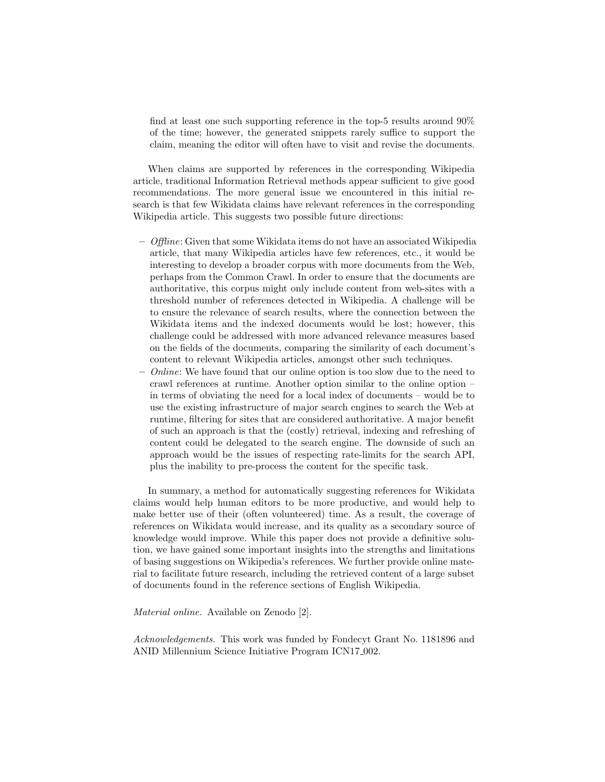find at least one such supporting reference in the top-5 results around 90% of the time; however, the generated snippets rarely suffice to support the claim, meaning the editor will often have to visit and revise the documents.

When claims are supported by references in the corresponding Wikipedia article, traditional Information Retrieval methods appear sufficient to give good recommendations. The more general issue we encountered in this initial research is that few Wikidata claims have relevant references in the corresponding Wikipedia article. This suggests two possible future directions:

- $-$  Offline: Given that some Wikidata items do not have an associated Wikipedia article, that many Wikipedia articles have few references, etc., it would be interesting to develop a broader corpus with more documents from the Web, perhaps from the Common Crawl. In order to ensure that the documents are authoritative, this corpus might only include content from web-sites with a threshold number of references detected in Wikipedia. A challenge will be to ensure the relevance of search results, where the connection between the Wikidata items and the indexed documents would be lost; however, this challenge could be addressed with more advanced relevance measures based on the fields of the documents, comparing the similarity of each document's content to relevant Wikipedia articles, amongst other such techniques.
- $-$  *Online:* We have found that our online option is too slow due to the need to crawl references at runtime. Another option similar to the online option – in terms of obviating the need for a local index of documents – would be to use the existing infrastructure of major search engines to search the Web at runtime, filtering for sites that are considered authoritative. A major benefit of such an approach is that the (costly) retrieval, indexing and refreshing of content could be delegated to the search engine. The downside of such an approach would be the issues of respecting rate-limits for the search API, plus the inability to pre-process the content for the specific task.

In summary, a method for automatically suggesting references for Wikidata claims would help human editors to be more productive, and would help to make better use of their (often volunteered) time. As a result, the coverage of references on Wikidata would increase, and its quality as a secondary source of knowledge would improve. While this paper does not provide a definitive solution, we have gained some important insights into the strengths and limitations of basing suggestions on Wikipedia's references. We further provide online material to facilitate future research, including the retrieved content of a large subset of documents found in the reference sections of English Wikipedia.

Material online. Available on Zenodo [\[2\]](#page-12-15).

Acknowledgements. This work was funded by Fondecyt Grant No. 1181896 and ANID Millennium Science Initiative Program ICN17<sub>-002</sub>.